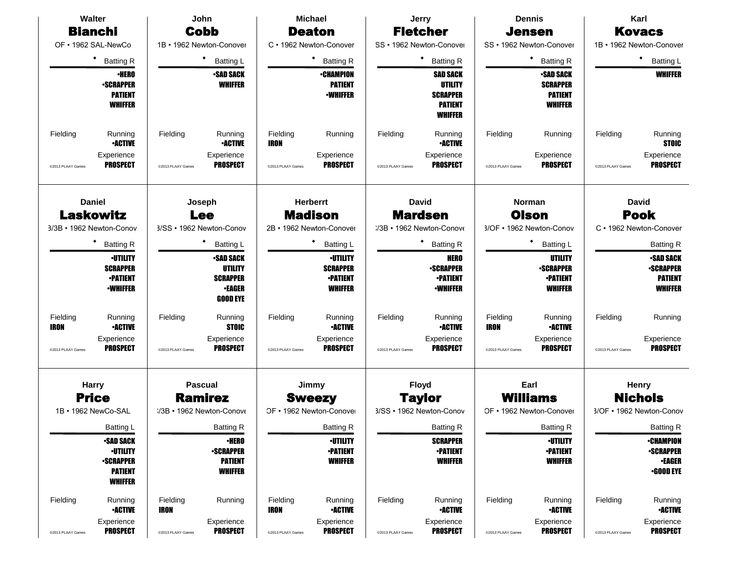| Walter                   |                                                                                             |                   | John                                                                        |                   | <b>Michael</b>                                                          |                   | Jerry                                                                                    |                   | <b>Dennis</b>                                                    |                   | Karl                                                                      |
|--------------------------|---------------------------------------------------------------------------------------------|-------------------|-----------------------------------------------------------------------------|-------------------|-------------------------------------------------------------------------|-------------------|------------------------------------------------------------------------------------------|-------------------|------------------------------------------------------------------|-------------------|---------------------------------------------------------------------------|
| <b>Bianchi</b>           |                                                                                             |                   | <b>Cobb</b>                                                                 |                   | <b>Deaton</b>                                                           |                   | <b>Fletcher</b>                                                                          |                   | <b>Jensen</b>                                                    |                   | <b>Kovacs</b>                                                             |
| OF . 1962 SAL-NewCo      |                                                                                             |                   | 1B • 1962 Newton-Conover                                                    |                   | C · 1962 Newton-Conover                                                 |                   | SS · 1962 Newton-Conover                                                                 |                   | SS · 1962 Newton-Conover                                         |                   | 1B · 1962 Newton-Conover                                                  |
|                          | $\bullet$<br><b>Batting R</b>                                                               |                   | Batting L                                                                   | <b>Batting R</b>  |                                                                         |                   | ٠<br><b>Batting R</b>                                                                    |                   | ٠<br><b>Batting R</b>                                            |                   | ٠<br><b>Batting L</b>                                                     |
|                          | <b>•HERO</b><br><b>•SCRAPPER</b><br><b>PATIENT</b><br><b>WHIFFER</b>                        |                   | <b>•SAD SACK</b><br><b>WHIFFER</b>                                          |                   | <b>•CHAMPION</b><br><b>PATIENT</b><br><b>•WHIFFER</b>                   |                   | <b>SAD SACK</b><br><b>UTILITY</b><br><b>SCRAPPER</b><br><b>PATIENT</b><br><b>WHIFFER</b> |                   | <b>SAD SACK</b><br><b>SCRAPPER</b><br><b>PATIENT</b><br>WHIFFER  |                   | <b>WHIFFER</b>                                                            |
| Fielding                 | Running<br><b>•ACTIVE</b>                                                                   | Fielding          | Running<br><b>•ACTIVE</b>                                                   | Fielding<br>IRON  | Running                                                                 | Fielding          | Running<br><b>•ACTIVE</b>                                                                | Fielding          | Running                                                          | Fielding          | Running<br><b>STOIC</b>                                                   |
| @2013 PLAAY Games        | Experience<br><b>PROSPECT</b>                                                               | @2013 PLAAY Games | Experience<br><b>PROSPECT</b>                                               | @2013 PLAAY Games | Experience<br><b>PROSPECT</b>                                           | @2013 PLAAY Games | Experience<br><b>PROSPECT</b>                                                            | @2013 PLAAY Games | Experience<br><b>PROSPECT</b>                                    | @2013 PLAAY Games | Experience<br><b>PROSPECT</b>                                             |
|                          | <b>Daniel</b><br><b>Laskowitz</b>                                                           |                   | Joseph<br><b>Lee</b>                                                        |                   | <b>Herberrt</b><br><b>Madison</b>                                       |                   | <b>David</b><br><b>Mardsen</b>                                                           |                   | <b>Norman</b><br><b>Olson</b>                                    |                   | <b>David</b><br><b>Pook</b>                                               |
| 3/3B · 1962 Newton-Conov |                                                                                             |                   | 3/SS · 1962 Newton-Conov                                                    |                   | 2B • 1962 Newton-Conover                                                |                   | :/3B · 1962 Newton-Conove                                                                |                   | 3/OF • 1962 Newton-Conov                                         |                   | C · 1962 Newton-Conover                                                   |
|                          | $\bullet$<br><b>Batting R</b>                                                               |                   | $\bullet$<br><b>Batting L</b>                                               |                   | ٠<br><b>Batting L</b>                                                   |                   | ٠<br><b>Batting R</b>                                                                    |                   | ٠<br><b>Batting L</b>                                            |                   | <b>Batting R</b>                                                          |
|                          | <b>•UTILITY</b><br><b>SCRAPPER</b><br><b>•PATIENT</b><br><b>-WHIFFER</b>                    |                   | •SAD SACK<br>UTILITY<br><b>SCRAPPER</b><br><b>•EAGER</b><br><b>GOOD EYE</b> |                   | <b>•UTILITY</b><br><b>SCRAPPER</b><br><b>•PATIENT</b><br><b>WHIFFER</b> |                   | <b>HERO</b><br><b>-SCRAPPER</b><br><b>•PATIENT</b><br><b>•WHIFFER</b>                    |                   | UTILITY<br><b>•SCRAPPER</b><br><b>•PATIENT</b><br><b>WHIFFER</b> |                   | <b>•SAD SACK</b><br><b>-SCRAPPER</b><br><b>PATIENT</b><br><b>WHIFFER</b>  |
| Fielding<br>IRON         | Running<br><b>•ACTIVE</b>                                                                   | Fielding          | Running<br><b>STOIC</b>                                                     | Fielding          | Running<br><b>•ACTIVE</b>                                               | Fielding          | Running<br><b>•ACTIVE</b>                                                                | Fielding<br>IRON  | Running<br><b>•ACTIVE</b>                                        | Fielding          | Running                                                                   |
| @2013 PLAAY Games        | Experience<br><b>PROSPECT</b>                                                               | @2013 PLAAY Games | Experience<br><b>PROSPECT</b>                                               | @2013 PLAAY Games | Experience<br><b>PROSPECT</b>                                           | @2013 PLAAY Games | Experience<br><b>PROSPECT</b>                                                            | @2013 PLAAY Games | Experience<br><b>PROSPECT</b>                                    | @2013 PLAAY Games | Experience<br><b>PROSPECT</b>                                             |
| <b>Harry</b>             |                                                                                             |                   | <b>Pascual</b>                                                              |                   | Jimmy                                                                   |                   | <b>Floyd</b>                                                                             |                   | Earl                                                             |                   | Henry                                                                     |
| <b>Price</b>             |                                                                                             |                   | <b>Ramirez</b>                                                              |                   | <b>Sweezy</b>                                                           |                   | <b>Taylor</b>                                                                            |                   | <b>Williams</b>                                                  |                   | <b>Nichols</b>                                                            |
| 1B · 1962 NewCo-SAL      |                                                                                             |                   | :/3B · 1962 Newton-Conove                                                   |                   | OF • 1962 Newton-Conover                                                |                   | 3/SS · 1962 Newton-Conov                                                                 |                   | OF • 1962 Newton-Conover                                         |                   | 3/OF • 1962 Newton-Conov                                                  |
|                          | Batting L                                                                                   |                   | Batting R                                                                   |                   | Batting R                                                               |                   | Batting R                                                                                |                   | Batting R                                                        |                   | <b>Batting R</b>                                                          |
|                          | <b>-SAD SACK</b><br><b>·UTILITY</b><br><b>-SCRAPPER</b><br><b>PATIENT</b><br><b>WHIFFER</b> |                   | <b>·HERO</b><br><b>•SCRAPPER</b><br><b>PATIENT</b><br><b>WHIFFER</b>        |                   | <b>•UTILITY</b><br><b>-PATIENT</b><br><b>WHIFFER</b>                    |                   | <b>SCRAPPER</b><br><b>-PATIENT</b><br><b>WHIFFER</b>                                     |                   | <b>·UTILITY</b><br><b>•PATIENT</b><br><b>WHIFFER</b>             |                   | <b>•CHAMPION</b><br><b>-SCRAPPER</b><br><b>•EAGER</b><br>$\cdot$ GOOD EYE |
| Fielding                 | Running<br><b>•ACTIVE</b>                                                                   | Fielding<br>IRON  | Running                                                                     | Fielding<br>IRON  | Running<br><b>-ACTIVE</b>                                               | Fielding          | Running<br><b>-ACTIVE</b>                                                                | Fielding          | Running<br><b>•ACTIVE</b>                                        | Fielding          | Running<br><b>-ACTIVE</b>                                                 |
| @2013 PLAAY Games        | Experience<br><b>PROSPECT</b>                                                               | @2013 PLAAY Games | Experience<br><b>PROSPECT</b>                                               | @2013 PLAAY Games | Experience<br><b>PROSPECT</b>                                           | @2013 PLAAY Games | Experience<br><b>PROSPECT</b>                                                            | @2013 PLAAY Games | Experience<br><b>PROSPECT</b>                                    | @2013 PLAAY Games | Experience<br><b>PROSPECT</b>                                             |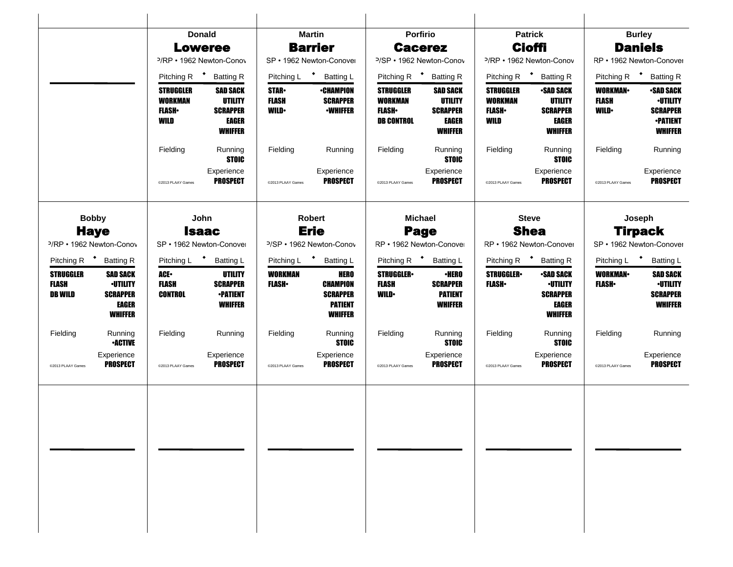|                                                    |                                                                                         |                                                              | <b>Donald</b>                                                     |                                             | <b>Martin</b>                                                                         |                                                                         | Porfirio                                                                 |                                                       | <b>Patrick</b>                                                                    |                                                | <b>Burley</b>                                                                               |
|----------------------------------------------------|-----------------------------------------------------------------------------------------|--------------------------------------------------------------|-------------------------------------------------------------------|---------------------------------------------|---------------------------------------------------------------------------------------|-------------------------------------------------------------------------|--------------------------------------------------------------------------|-------------------------------------------------------|-----------------------------------------------------------------------------------|------------------------------------------------|---------------------------------------------------------------------------------------------|
|                                                    |                                                                                         |                                                              | <b>Loweree</b>                                                    |                                             | <b>Barrier</b>                                                                        |                                                                         | <b>Cacerez</b>                                                           |                                                       | <b>Cioffi</b>                                                                     |                                                | <b>Daniels</b>                                                                              |
|                                                    |                                                                                         | <sup>2</sup> /RP • 1962 Newton-Conov                         |                                                                   |                                             | SP • 1962 Newton-Conover                                                              |                                                                         | <sup>2</sup> /SP • 1962 Newton-Conov                                     |                                                       | <sup>2</sup> /RP · 1962 Newton-Conov                                              |                                                | RP • 1962 Newton-Conover                                                                    |
|                                                    |                                                                                         | Pitching R <sup>+</sup>                                      | <b>Batting R</b>                                                  | Pitching L                                  | * Batting L                                                                           |                                                                         | Pitching R <sup>+</sup> Batting R                                        |                                                       | Pitching R <sup>+</sup> Batting R                                                 |                                                | Pitching R <sup>+</sup> Batting R                                                           |
|                                                    |                                                                                         | <b>STRUGGLER</b><br><b>WORKMAN</b><br><b>FLASH</b> •<br>WILD | <b>SAD SACK</b><br>UTILITY<br><b>SCRAPPER</b><br>EAGER<br>WHIFFER | <b>STAR</b><br><b>FLASH</b><br><b>WILD•</b> | ∙CHAMPION<br><b>SCRAPPER</b><br><b>•WHIFFER</b>                                       | <b>STRUGGLER</b><br><b>WORKMAN</b><br><b>FLASH</b><br><b>DB CONTROL</b> | <b>SAD SACK</b><br><b>UTILITY</b><br><b>SCRAPPER</b><br>EAGER<br>WHIFFER | STRUGGLER<br><b>WORKMAN</b><br><b>FLASH</b> •<br>WILD | <b>•SAD SACK</b><br>UTILITY<br><b>SCRAPPER</b><br><b>EAGER</b><br><b>WHIFFER</b>  | <b>WORKMAN-</b><br><b>FLASH</b><br><b>WILD</b> | <b>-SAD SACK</b><br><b>-UTILITY</b><br><b>SCRAPPER</b><br><b>-PATIENT</b><br><b>WHIFFER</b> |
|                                                    |                                                                                         | Fielding                                                     | Running<br><b>STOIC</b>                                           | Fielding                                    | Running                                                                               | Fielding                                                                | Running<br><b>STOIC</b>                                                  | Fielding                                              | Running<br><b>STOIC</b>                                                           | Fielding                                       | Running                                                                                     |
|                                                    |                                                                                         | @2013 PLAAY Games                                            | Experience<br><b>PROSPECT</b>                                     | @2013 PLAAY Games                           | Experience<br><b>PROSPECT</b>                                                         | @2013 PLAAY Games                                                       | Experience<br><b>PROSPECT</b>                                            | @2013 PLAAY Games                                     | Experience<br><b>PROSPECT</b>                                                     | @2013 PLAAY Games                              | Experience<br><b>PROSPECT</b>                                                               |
|                                                    | <b>Bobby</b>                                                                            |                                                              | John                                                              |                                             | Robert                                                                                |                                                                         | <b>Michael</b>                                                           |                                                       | <b>Steve</b>                                                                      |                                                | Joseph                                                                                      |
|                                                    | <b>Haye</b>                                                                             |                                                              | <b>Isaac</b>                                                      |                                             | <b>Erie</b>                                                                           |                                                                         | Page                                                                     |                                                       | <b>Shea</b>                                                                       |                                                | <b>Tirpack</b>                                                                              |
|                                                    | <sup>2</sup> /RP • 1962 Newton-Conov                                                    | SP • 1962 Newton-Conover                                     |                                                                   |                                             | P/SP · 1962 Newton-Conov                                                              |                                                                         | RP · 1962 Newton-Conover                                                 | RP • 1962 Newton-Conover                              |                                                                                   |                                                | SP · 1962 Newton-Conover                                                                    |
|                                                    | Pitching R <sup>+</sup> Batting R                                                       | Pitching L <sup>+</sup>                                      | <b>Batting L</b>                                                  | Pitching L                                  | * Batting L                                                                           | Pitching R <sup>+</sup> Batting L                                       |                                                                          |                                                       | Pitching R <sup>+</sup> Batting R                                                 | Pitching L <sup>+</sup>                        | <b>Batting L</b>                                                                            |
| <b>STRUGGLER</b><br><b>FLASH</b><br><b>DB WILD</b> | <b>SAD SACK</b><br><b>·UTILITY</b><br><b>SCRAPPER</b><br><b>EAGER</b><br><b>WHIFFER</b> | ACE.<br><b>FLASH</b><br><b>CONTROL</b>                       | UTILITY<br><b>SCRAPPER</b><br><b>•PATIENT</b><br>WHIFFER          | <b>WORKMAN</b><br><b>FLASH</b> •            | <b>HERO</b><br><b>CHAMPION</b><br><b>SCRAPPER</b><br><b>PATIENT</b><br><b>WHIFFER</b> | <b>STRUGGLER</b><br><b>FLASH</b><br><b>WILD</b>                         | <b>·HERO</b><br><b>SCRAPPER</b><br><b>PATIENT</b><br>WHIFFER             | <b>STRUGGLER</b><br><b>FLASH</b>                      | <b>•SAD SACK</b><br><b>·UTILITY</b><br><b>SCRAPPER</b><br>EAGER<br><b>WHIFFER</b> | <b>WORKMAN</b><br><b>FLASH</b>                 | <b>SAD SACK</b><br><b>·UTILITY</b><br><b>SCRAPPER</b><br><b>WHIFFER</b>                     |
| Fielding                                           | Running<br><b>•ACTIVE</b>                                                               | Fielding                                                     | Running                                                           | Fielding                                    | Running<br><b>STOIC</b>                                                               | Fielding                                                                | Running<br><b>STOIC</b>                                                  | Fielding                                              | Running<br><b>STOIC</b>                                                           | Fielding                                       | Running                                                                                     |
| @2013 PLAAY Games                                  | Experience<br><b>PROSPECT</b>                                                           | @2013 PLAAY Games                                            | Experience<br><b>PROSPECT</b>                                     | @2013 PLAAY Games                           | Experience<br><b>PROSPECT</b>                                                         | @2013 PLAAY Games                                                       | Experience<br><b>PROSPECT</b>                                            | @2013 PLAAY Games                                     | Experience<br><b>PROSPECT</b>                                                     | @2013 PLAAY Games                              | Experience<br><b>PROSPECT</b>                                                               |
|                                                    |                                                                                         |                                                              |                                                                   |                                             |                                                                                       |                                                                         |                                                                          |                                                       |                                                                                   |                                                |                                                                                             |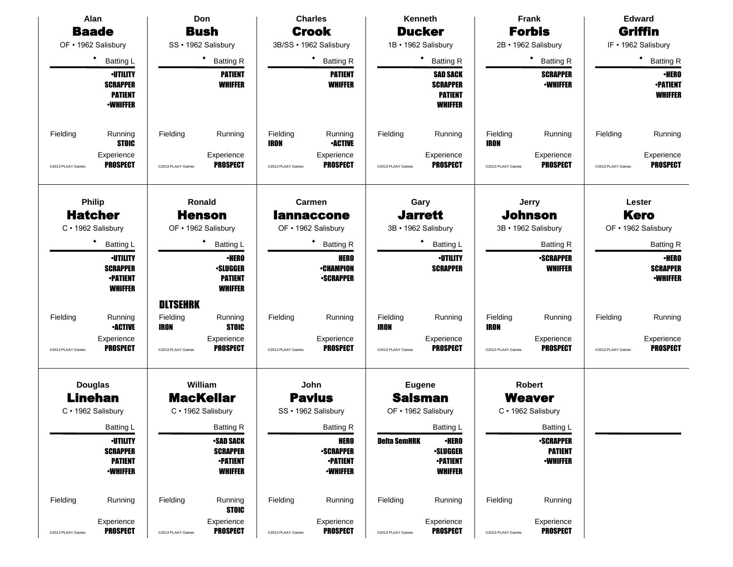| Alan                          |                                                                         | Don                                        |                                                                          | <b>Charles</b>                               |                                                                       | Kenneth                       |                                                                        | Frank                                 |                                                       | <b>Edward</b>                 |                                                    |
|-------------------------------|-------------------------------------------------------------------------|--------------------------------------------|--------------------------------------------------------------------------|----------------------------------------------|-----------------------------------------------------------------------|-------------------------------|------------------------------------------------------------------------|---------------------------------------|-------------------------------------------------------|-------------------------------|----------------------------------------------------|
|                               | <b>Baade</b>                                                            |                                            | <b>Bush</b>                                                              |                                              | <b>Crook</b>                                                          |                               | <b>Ducker</b>                                                          |                                       | <b>Forbis</b>                                         |                               | Griffin                                            |
|                               | OF · 1962 Salisbury                                                     |                                            | SS · 1962 Salisbury                                                      |                                              | 3B/SS · 1962 Salisbury                                                |                               | 1B · 1962 Salisbury                                                    |                                       | 2B · 1962 Salisbury                                   |                               | IF . 1962 Salisbury                                |
|                               | $\bullet$<br><b>Batting L</b>                                           |                                            | ٠<br><b>Batting R</b>                                                    |                                              | $\bullet$<br><b>Batting R</b>                                         |                               | <b>Batting R</b>                                                       |                                       | $\bullet$<br><b>Batting R</b>                         |                               | ٠<br><b>Batting R</b>                              |
|                               | <b>•UTILITY</b><br><b>SCRAPPER</b><br><b>PATIENT</b><br><b>-WHIFFER</b> |                                            | <b>PATIENT</b><br><b>WHIFFER</b>                                         |                                              | <b>PATIENT</b><br><b>WHIFFER</b>                                      |                               | <b>SAD SACK</b><br><b>SCRAPPER</b><br><b>PATIENT</b><br><b>WHIFFER</b> |                                       | <b>SCRAPPER</b><br><b>-WHIFFER</b>                    |                               | <b>•HERO</b><br><b>-PATIENT</b><br><b>WHIFFER</b>  |
| Fielding<br>@2013 PLAAY Games | Running<br><b>STOIC</b><br>Experience<br><b>PROSPECT</b>                | Fielding<br>@2013 PLAAY Games              | Running<br>Experience<br><b>PROSPECT</b>                                 | Fielding<br><b>IRON</b><br>@2013 PLAAY Games | Running<br><b>•ACTIVE</b><br>Experience<br><b>PROSPECT</b>            | Fielding<br>@2013 PLAAY Games | Running<br>Experience<br><b>PROSPECT</b>                               | Fielding<br>IRON<br>@2013 PLAAY Games | Running<br>Experience<br><b>PROSPECT</b>              | Fielding<br>@2013 PLAAY Games | Running<br>Experience<br><b>PROSPECT</b>           |
|                               | <b>Philip</b><br><b>Hatcher</b><br>C · 1962 Salisbury                   |                                            | Ronald<br><b>Henson</b><br>OF • 1962 Salisbury                           |                                              | Carmen<br><b>lannaccone</b><br>OF • 1962 Salisbury                    |                               | Gary<br><b>Jarrett</b><br>3B · 1962 Salisbury                          |                                       | Jerry<br><b>Johnson</b><br>3B · 1962 Salisbury        |                               | Lester<br><b>Kero</b><br>OF • 1962 Salisbury       |
|                               | ٠<br><b>Batting L</b>                                                   |                                            | <b>Batting L</b>                                                         |                                              | ٠<br><b>Batting R</b>                                                 |                               | Batting L                                                              |                                       | <b>Batting R</b>                                      |                               | <b>Batting R</b>                                   |
|                               | <b>·UTILITY</b><br><b>SCRAPPER</b><br><b>•PATIENT</b><br><b>WHIFFER</b> |                                            | <b>·HERO</b><br><b>-SLUGGER</b><br><b>PATIENT</b><br><b>WHIFFER</b>      |                                              | <b>HERO</b><br><b>-CHAMPION</b><br><b>•SCRAPPER</b>                   |                               | <b>-UTILITY</b><br><b>SCRAPPER</b>                                     |                                       | <b>•SCRAPPER</b><br><b>WHIFFER</b>                    |                               | ∙HERO<br><b>SCRAPPER</b><br><b><i>•WHIFFER</i></b> |
| Fielding                      | Running<br><b>-ACTIVE</b>                                               | <b>DLTSEHRK</b><br>Fielding<br><b>IRON</b> | Running<br><b>STOIC</b>                                                  | Fielding                                     | Running                                                               | Fielding<br><b>IRON</b>       | Running                                                                | Fielding<br>IRON                      | Running                                               | Fielding                      | Running                                            |
| @2013 PLAAY Games             | Experience<br><b>PROSPECT</b>                                           | @2013 PLAAY Games                          | Experience<br>PROSPECT                                                   | @2013 PLAAY Games                            | Experience<br><b>PROSPECT</b>                                         | @2013 PLAAY Games             | Experience<br><b>PROSPECT</b>                                          | @2013 PLAAY Games                     | Experience<br><b>PROSPECT</b>                         | @2013 PLAAY Games             | Experience<br><b>PROSPECT</b>                      |
|                               | <b>Douglas</b><br><b>Linehan</b><br>C · 1962 Salisbury                  |                                            | William<br><b>MacKellar</b><br>C · 1962 Salisbury                        |                                              | John<br><b>Pavlus</b><br>SS · 1962 Salisbury                          |                               | <b>Eugene</b><br><b>Salsman</b><br>OF • 1962 Salisbury                 |                                       | <b>Robert</b><br><b>Weaver</b><br>C · 1962 Salisbury  |                               |                                                    |
|                               | <b>Batting L</b>                                                        |                                            | <b>Batting R</b>                                                         |                                              | <b>Batting R</b>                                                      |                               | Batting L                                                              |                                       | <b>Batting L</b>                                      |                               |                                                    |
|                               | <b>-UTILITY</b><br><b>SCRAPPER</b><br><b>PATIENT</b><br><b>-WHIFFER</b> |                                            | <b>•SAD SACK</b><br><b>SCRAPPER</b><br><b>•PATIENT</b><br><b>WHIFFER</b> |                                              | <b>HERO</b><br><b>-SCRAPPER</b><br><b>•PATIENT</b><br><b>-WHIFFER</b> | <b>Delta SemHRK</b>           | <b>•HERO</b><br><b>-SLUGGER</b><br><b>•PATIENT</b><br><b>WHIFFER</b>   |                                       | <b>-SCRAPPER</b><br><b>PATIENT</b><br><b>•WHIFFER</b> |                               |                                                    |
| Fielding                      | Running<br>Experience                                                   | Fielding                                   | Running<br><b>STOIC</b><br>Experience                                    | Fielding                                     | Running<br>Experience                                                 | Fielding                      | Running<br>Experience                                                  | Fielding                              | Running<br>Experience                                 |                               |                                                    |
| @2013 PLAAY Games             | <b>PROSPECT</b>                                                         | @2013 PLAAY Games                          | <b>PROSPECT</b>                                                          | @2013 PLAAY Games                            | <b>PROSPECT</b>                                                       | @2013 PLAAY Games             | <b>PROSPECT</b>                                                        | @2013 PLAAY Games                     | <b>PROSPECT</b>                                       |                               |                                                    |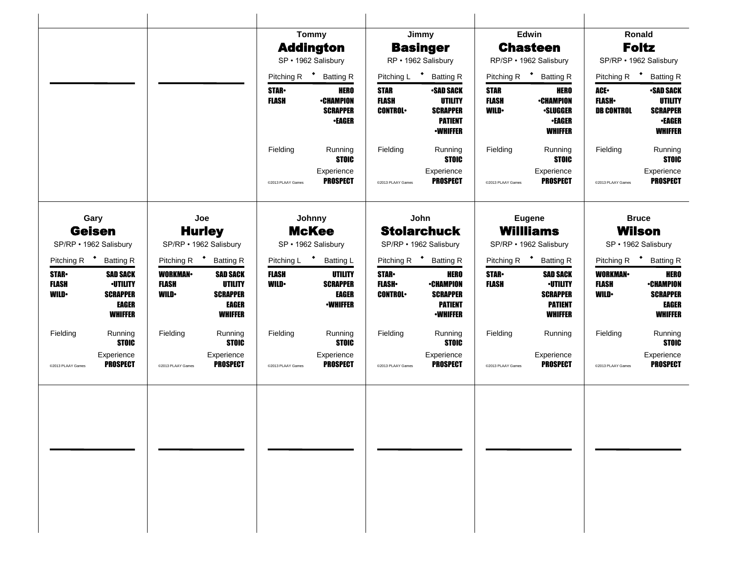|                                             |                                                                                  |                                               |                                                                                        |                             | <b>Tommy</b>                                                  |                                                 | Jimmy                                                                                      |                                             | Edwin                                                                              |                                                  | Ronald                                                                                   |
|---------------------------------------------|----------------------------------------------------------------------------------|-----------------------------------------------|----------------------------------------------------------------------------------------|-----------------------------|---------------------------------------------------------------|-------------------------------------------------|--------------------------------------------------------------------------------------------|---------------------------------------------|------------------------------------------------------------------------------------|--------------------------------------------------|------------------------------------------------------------------------------------------|
|                                             |                                                                                  |                                               |                                                                                        |                             | <b>Addington</b>                                              |                                                 | <b>Basinger</b>                                                                            |                                             | <b>Chasteen</b>                                                                    |                                                  | <b>Foltz</b>                                                                             |
|                                             |                                                                                  |                                               |                                                                                        |                             | SP · 1962 Salisbury                                           | RP · 1962 Salisbury                             |                                                                                            | RP/SP · 1962 Salisbury                      |                                                                                    | SP/RP · 1962 Salisbury                           |                                                                                          |
|                                             |                                                                                  |                                               |                                                                                        |                             | Pitching R <sup>+</sup> Batting R                             | Pitching L * Batting R                          |                                                                                            | Pitching R <sup>+</sup> Batting R           |                                                                                    | Pitching R $\bullet$<br><b>Batting R</b>         |                                                                                          |
|                                             |                                                                                  |                                               |                                                                                        | <b>STAR</b><br><b>FLASH</b> | <b>HERO</b><br><b>•CHAMPION</b><br><b>SCRAPPER</b><br>•EAGER  | <b>STAR</b><br><b>FLASH</b><br><b>CONTROL</b>   | <b>•SAD SACK</b><br><b>UTILITY</b><br><b>SCRAPPER</b><br><b>PATIENT</b><br><b>-WHIFFER</b> | <b>STAR</b><br><b>FLASH</b><br><b>WILD•</b> | <b>HERO</b><br><b>-CHAMPION</b><br><b>•SLUGGER</b><br><b>•EAGER</b><br>WHIFFER     | <b>ACE•</b><br><b>FLASH</b><br><b>DB CONTROL</b> | <b>-SAD SACK</b><br><b>UTILITY</b><br><b>SCRAPPER</b><br><b>•EAGER</b><br><b>WHIFFER</b> |
|                                             |                                                                                  |                                               |                                                                                        | Fielding                    | Running<br><b>STOIC</b>                                       | Fielding                                        | Running<br><b>STOIC</b>                                                                    | Fielding                                    | Running<br><b>STOIC</b>                                                            | Fielding                                         | Running<br><b>STOIC</b>                                                                  |
|                                             |                                                                                  |                                               |                                                                                        | @2013 PLAAY Games           | Experience<br><b>PROSPECT</b>                                 | @2013 PLAAY Games                               | Experience<br><b>PROSPECT</b>                                                              | @2013 PLAAY Games                           | Experience<br><b>PROSPECT</b>                                                      | @2013 PLAAY Games                                | Experience<br><b>PROSPECT</b>                                                            |
|                                             | Gary<br><b>Geisen</b><br>SP/RP · 1962 Salisbury                                  |                                               | Joe<br><b>Hurley</b><br>SP/RP · 1962 Salisbury                                         |                             | Johnny<br><b>McKee</b><br>SP · 1962 Salisbury                 |                                                 | John<br><b>Stolarchuck</b><br>SP/RP · 1962 Salisbury                                       |                                             | <b>Eugene</b><br><b>Willliams</b><br>SP/RP · 1962 Salisbury                        |                                                  | <b>Bruce</b><br><b>Wilson</b><br>SP · 1962 Salisbury                                     |
|                                             | Pitching R <sup>+</sup> Batting R                                                |                                               | Pitching R <sup>+</sup> Batting R                                                      | Pitching L <sup>+</sup>     | <b>Batting L</b>                                              |                                                 | Pitching R <sup>+</sup> Batting R                                                          |                                             | Pitching R <sup>+</sup><br><b>Batting R</b>                                        |                                                  | Pitching R <sup>+</sup> Batting R                                                        |
| <b>STAR</b><br><b>FLASH</b><br><b>WILD•</b> | <b>SAD SACK</b><br><b>·UTILITY</b><br><b>SCRAPPER</b><br>EAGER<br><b>WHIFFER</b> | <b>WORKMAN</b><br><b>FLASH</b><br><b>WILD</b> | <b>SAD SACK</b><br><b>UTILITY</b><br><b>SCRAPPER</b><br><b>EAGER</b><br><b>WHIFFER</b> | <b>FLASH</b><br><b>WILD</b> | UTILITY<br><b>SCRAPPER</b><br><b>EAGER</b><br><b>•WHIFFER</b> | <b>STAR</b> •<br><b>FLASH</b><br><b>CONTROL</b> | <b>HERO</b><br><b>-CHAMPION</b><br><b>SCRAPPER</b><br><b>PATIENT</b><br><b>•WHIFFER</b>    | <b>STAR</b><br><b>FLASH</b>                 | <b>SAD SACK</b><br><b>·UTILITY</b><br><b>SCRAPPER</b><br><b>PATIENT</b><br>WHIFFER | <b>WORKMAN-</b><br>FLASH<br><b>WILD</b>          | <b>HERO</b><br><b>-CHAMPION</b><br><b>SCRAPPER</b><br><b>EAGER</b><br><b>WHIFFER</b>     |
| Fielding                                    | Running<br><b>STOIC</b>                                                          | Fielding                                      | Running<br><b>STOIC</b>                                                                | Fielding                    | Running<br><b>STOIC</b>                                       | Fielding                                        | Running<br><b>STOIC</b>                                                                    | Fielding                                    | Running                                                                            | Fielding                                         | Running<br><b>STOIC</b>                                                                  |
| @2013 PLAAY Games                           | Experience<br><b>PROSPECT</b>                                                    | @2013 PLAAY Games                             | Experience<br><b>PROSPECT</b>                                                          | @2013 PLAAY Games           | Experience<br><b>PROSPECT</b>                                 | @2013 PLAAY Games                               | Experience<br><b>PROSPECT</b>                                                              | @2013 PLAAY Games                           | Experience<br><b>PROSPECT</b>                                                      | @2013 PLAAY Games                                | Experience<br><b>PROSPECT</b>                                                            |
|                                             |                                                                                  |                                               |                                                                                        |                             |                                                               |                                                 |                                                                                            |                                             |                                                                                    |                                                  |                                                                                          |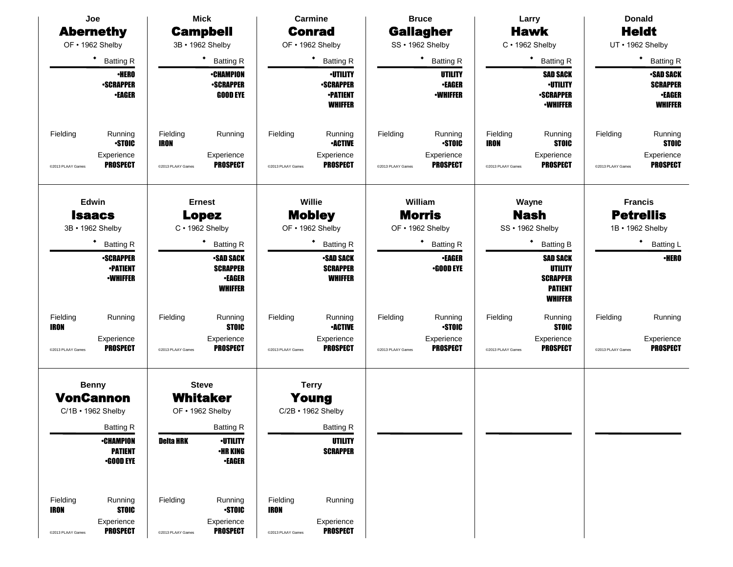| Joe                     |                                                        | <b>Mick</b>             |                                                                        |                   | <b>Carmine</b>                                                           |                   | <b>Bruce</b>                                 |                         | Larry                                                                             | <b>Donald</b>     |                                                                        |
|-------------------------|--------------------------------------------------------|-------------------------|------------------------------------------------------------------------|-------------------|--------------------------------------------------------------------------|-------------------|----------------------------------------------|-------------------------|-----------------------------------------------------------------------------------|-------------------|------------------------------------------------------------------------|
| <b>Abernethy</b>        |                                                        |                         | <b>Campbell</b>                                                        |                   | <b>Conrad</b>                                                            |                   | <b>Gallagher</b>                             |                         | <b>Hawk</b>                                                                       |                   | <b>Heldt</b>                                                           |
| OF . 1962 Shelby        |                                                        |                         | 3B · 1962 Shelby                                                       |                   | OF • 1962 Shelby                                                         |                   | SS · 1962 Shelby                             |                         | $C \cdot 1962$ Shelby                                                             |                   | UT • 1962 Shelby                                                       |
|                         | ٠<br><b>Batting R</b>                                  |                         | <b>Batting R</b>                                                       |                   | ٠<br><b>Batting R</b>                                                    |                   | ٠<br><b>Batting R</b>                        |                         | ٠<br><b>Batting R</b>                                                             |                   | <b>Batting R</b>                                                       |
|                         | <b>•HERO</b><br><b>-SCRAPPER</b><br><b>•EAGER</b>      |                         | <b>•CHAMPION</b><br><b>-SCRAPPER</b><br><b>GOOD EYE</b>                |                   | <b>-UTILITY</b><br><b>-SCRAPPER</b><br><b>•PATIENT</b><br><b>WHIFFER</b> |                   | UTILITY<br><b>•EAGER</b><br><b>•WHIFFER</b>  |                         | <b>SAD SACK</b><br><b>·UTILITY</b><br><b>-SCRAPPER</b><br><b>•WHIFFER</b>         |                   | <b>-SAD SACK</b><br><b>SCRAPPER</b><br><b>•EAGER</b><br><b>WHIFFER</b> |
| Fielding                | Running<br><b>STOIC</b>                                | Fielding<br><b>IRON</b> | Running                                                                | Fielding          | Running<br><b>•ACTIVE</b>                                                | Fielding          | Running<br><b>STOIC</b>                      | Fielding<br><b>IRON</b> | Running<br><b>STOIC</b>                                                           | Fielding          | Running<br><b>STOIC</b>                                                |
| @2013 PLAAY Games       | Experience<br><b>PROSPECT</b>                          | @2013 PLAAY Games       | Experience<br><b>PROSPECT</b>                                          | @2013 PLAAY Games | Experience<br><b>PROSPECT</b>                                            | @2013 PLAAY Games | Experience<br><b>PROSPECT</b>                | @2013 PLAAY Games       | Experience<br><b>PROSPECT</b>                                                     | @2013 PLAAY Games | Experience<br><b>PROSPECT</b>                                          |
| 3B · 1962 Shelby        | Edwin<br><b>Isaacs</b>                                 |                         | <b>Ernest</b><br><b>Lopez</b><br>C · 1962 Shelby                       |                   | Willie<br><b>Mobley</b><br>OF . 1962 Shelby                              |                   | William<br><b>Morris</b><br>OF • 1962 Shelby |                         | Wayne<br><b>Nash</b><br>SS · 1962 Shelby                                          |                   | <b>Francis</b><br><b>Petrellis</b><br>1B • 1962 Shelby                 |
|                         | <b>Batting R</b>                                       |                         | <b>Batting R</b>                                                       |                   | ٠<br><b>Batting R</b>                                                    |                   | <b>Batting R</b>                             |                         | ٠<br><b>Batting B</b>                                                             |                   | $\bullet$<br>Batting L                                                 |
|                         | <b>-SCRAPPER</b><br><b>•PATIENT</b><br><b>-WHIFFER</b> |                         | <b>-SAD SACK</b><br><b>SCRAPPER</b><br><b>•EAGER</b><br><b>WHIFFER</b> |                   | <b>-SAD SACK</b><br><b>SCRAPPER</b><br><b>WHIFFER</b>                    |                   | <b>-EAGER</b><br><b>•GOOD EYE</b>            |                         | <b>SAD SACK</b><br>UTILITY<br><b>SCRAPPER</b><br><b>PATIENT</b><br><b>WHIFFER</b> |                   | <b>•HERO</b>                                                           |
| Fielding<br><b>IRON</b> | Running                                                | Fielding                | Running<br><b>STOIC</b>                                                | Fielding          | Running<br><b>•ACTIVE</b>                                                | Fielding          | Running<br><b>STOIC</b>                      | Fielding                | Running<br><b>STOIC</b>                                                           | Fielding          | Running                                                                |
| @2013 PLAAY Games       | Experience<br><b>PROSPECT</b>                          | @2013 PLAAY Games       | Experience<br><b>PROSPECT</b>                                          | @2013 PLAAY Games | Experience<br><b>PROSPECT</b>                                            | @2013 PLAAY Games | Experience<br><b>PROSPECT</b>                | @2013 PLAAY Games       | Experience<br><b>PROSPECT</b>                                                     | @2013 PLAAY Games | Experience<br><b>PROSPECT</b>                                          |
|                         | <b>Benny</b>                                           |                         | <b>Steve</b>                                                           |                   | <b>Terry</b>                                                             |                   |                                              |                         |                                                                                   |                   |                                                                        |
|                         | <b>VonCannon</b>                                       |                         | <b>Whitaker</b>                                                        |                   | Young                                                                    |                   |                                              |                         |                                                                                   |                   |                                                                        |
|                         | $C/1B$ $\cdot$ 1962 Shelby                             |                         | OF • 1962 Shelby                                                       |                   | C/2B • 1962 Shelby                                                       |                   |                                              |                         |                                                                                   |                   |                                                                        |
|                         | <b>Batting R</b>                                       |                         | <b>Batting R</b>                                                       |                   | <b>Batting R</b>                                                         |                   |                                              |                         |                                                                                   |                   |                                                                        |
|                         | <b>•CHAMPION</b><br><b>PATIENT</b><br>$-$ GOOD EYE     | <b>Deita HRK</b>        | <b>·UTILITY</b><br><b>•HR KING</b><br><b>•EAGER</b>                    |                   | <b>UTILITY</b><br><b>SCRAPPER</b>                                        |                   |                                              |                         |                                                                                   |                   |                                                                        |
| Fielding<br><b>IRON</b> | Running<br><b>STOIC</b><br>Experience                  | Fielding                | Running<br><b>STOIC</b><br>Experience                                  | Fielding<br>IRON  | Running<br>Experience                                                    |                   |                                              |                         |                                                                                   |                   |                                                                        |
| @2013 PLAAY Games       | <b>PROSPECT</b>                                        | @2013 PLAAY Games       | <b>PROSPECT</b>                                                        | @2013 PLAAY Games | <b>PROSPECT</b>                                                          |                   |                                              |                         |                                                                                   |                   |                                                                        |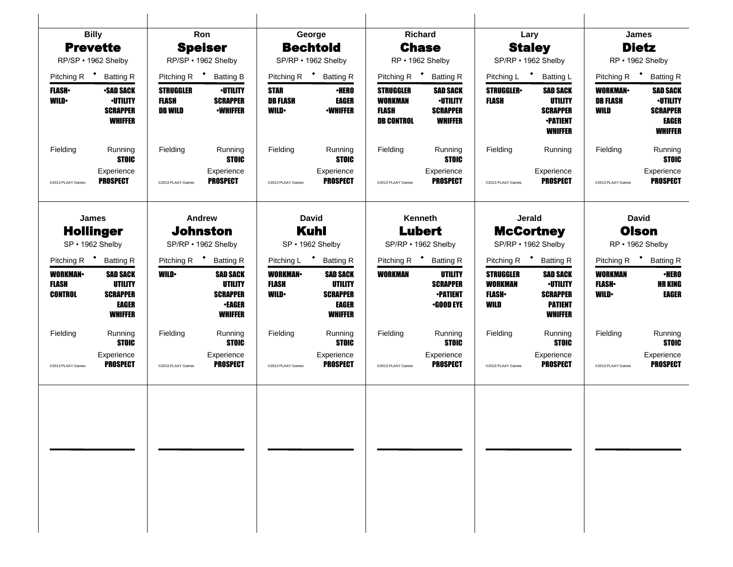| <b>Billy</b>                                       |                                                                                 |                                                    | Ron                                                                                     |                                               | George                                                                                 |                                                                         | Richard                                                                 |                                                              | Lary                                                                                      |                                                 | <b>James</b>                                                                     |
|----------------------------------------------------|---------------------------------------------------------------------------------|----------------------------------------------------|-----------------------------------------------------------------------------------------|-----------------------------------------------|----------------------------------------------------------------------------------------|-------------------------------------------------------------------------|-------------------------------------------------------------------------|--------------------------------------------------------------|-------------------------------------------------------------------------------------------|-------------------------------------------------|----------------------------------------------------------------------------------|
| <b>Prevette</b>                                    |                                                                                 |                                                    | <b>Speiser</b>                                                                          | <b>Bechtold</b>                               |                                                                                        | <b>Chase</b>                                                            |                                                                         | <b>Staley</b>                                                |                                                                                           |                                                 | <b>Dietz</b>                                                                     |
| RP/SP · 1962 Shelby                                |                                                                                 |                                                    | RP/SP · 1962 Shelby                                                                     |                                               | SP/RP · 1962 Shelby                                                                    |                                                                         | RP · 1962 Shelby                                                        |                                                              | SP/RP . 1962 Shelby                                                                       |                                                 | RP · 1962 Shelby                                                                 |
| Pitching R <sup>+</sup><br><b>Batting R</b>        |                                                                                 | Pitching R <sup>+</sup>                            | <b>Batting B</b>                                                                        |                                               | Pitching R <sup>+</sup> Batting R                                                      | Pitching R $\bullet$                                                    | <b>Batting R</b>                                                        | Pitching L <sup>+</sup>                                      | <b>Batting L</b>                                                                          | Pitching R <sup>+</sup>                         | <b>Batting R</b>                                                                 |
| <b>FLASH</b><br><b>WILD</b>                        | <b>-SAD SACK</b><br><b>•UTILITY</b><br><b>SCRAPPER</b><br><b>WHIFFER</b>        | <b>STRUGGLER</b><br><b>FLASH</b><br><b>DB WILD</b> | <b>·UTILITY</b><br><b>SCRAPPER</b><br><b>•WHIFFER</b>                                   | <b>STAR</b><br><b>DB FLASH</b><br><b>WILD</b> | ∙HERO<br><b>EAGER</b><br><b>•WHIFFER</b>                                               | <b>STRUGGLER</b><br><b>WORKMAN</b><br><b>FLASH</b><br><b>DB CONTROL</b> | <b>SAD SACK</b><br><b>·UTILITY</b><br><b>SCRAPPER</b><br><b>WHIFFER</b> | <b>STRUGGLER</b><br><b>FLASH</b>                             | <b>SAD SACK</b><br>UTILITY<br><b>SCRAPPER</b><br><b>-PATIENT</b><br><b>WHIFFER</b>        | <b>WORKMAN-</b><br>DB FLASH<br>WILD             | <b>SAD SACK</b><br><b>·UTILITY</b><br><b>SCRAPPER</b><br>EAGER<br><b>WHIFFER</b> |
| Fielding                                           | Running<br><b>STOIC</b>                                                         | Fielding                                           | Running<br><b>STOIC</b>                                                                 | Fielding                                      | Running<br><b>STOIC</b>                                                                | Fielding                                                                | Running<br><b>STOIC</b>                                                 | Fielding                                                     | Running                                                                                   | Fielding                                        | Running<br><b>STOIC</b>                                                          |
| Experience<br><b>PROSPECT</b><br>@2013 PLAAY Games |                                                                                 | @2013 PLAAY Games                                  | Experience<br><b>PROSPECT</b>                                                           | @2013 PLAAY Games                             | Experience<br><b>PROSPECT</b>                                                          | @2013 PLAAY Games                                                       | Experience<br><b>PROSPECT</b>                                           | @2013 PLAAY Games                                            | Experience<br><b>PROSPECT</b>                                                             | @2013 PLAAY Games                               | Experience<br><b>PROSPECT</b>                                                    |
| <b>James</b>                                       |                                                                                 | <b>Andrew</b><br><b>Johnston</b>                   |                                                                                         |                                               | <b>David</b><br><b>Kuhl</b>                                                            |                                                                         | Kenneth<br><b>Lubert</b>                                                |                                                              | <b>Jerald</b>                                                                             |                                                 | <b>David</b><br><b>Olson</b>                                                     |
| <b>Hollinger</b><br>SP · 1962 Shelby               |                                                                                 |                                                    | SP/RP . 1962 Shelby                                                                     |                                               | SP · 1962 Shelby                                                                       |                                                                         | SP/RP . 1962 Shelby                                                     |                                                              | <b>McCortney</b><br>SP/RP . 1962 Shelby                                                   |                                                 | RP · 1962 Shelby                                                                 |
| Pitching R <sup>+</sup> Batting R                  |                                                                                 | Pitching R <sup>+</sup>                            | <b>Batting R</b>                                                                        | Pitching L                                    | * Batting R                                                                            |                                                                         | Pitching R <sup>+</sup> Batting R                                       | Pitching R <sup>+</sup>                                      | <b>Batting R</b>                                                                          |                                                 | Pitching R <sup>+</sup> Batting R                                                |
| <b>WORKMAN-</b><br><b>FLASH</b><br><b>CONTROL</b>  | <b>SAD SACK</b><br><b>UTILITY</b><br><b>SCRAPPER</b><br>EAGER<br><b>WHIFFER</b> | <b>WILD</b>                                        | <b>SAD SACK</b><br><b>UTILITY</b><br><b>SCRAPPER</b><br><b>•EAGER</b><br><b>WHIFFER</b> | <b>WORKMAN</b><br><b>FLASH</b><br><b>WILD</b> | <b>SAD SACK</b><br><b>UTILITY</b><br><b>SCRAPPER</b><br><b>EAGER</b><br><b>WHIFFER</b> | WORKMAN                                                                 | UTILITY<br><b>SCRAPPER</b><br><b>-PATIENT</b><br>$\cdot$ GOOD EYE       | <b>STRUGGLER</b><br><b>WORKMAN</b><br><b>FLASH</b> •<br>WILD | <b>SAD SACK</b><br><b>·UTILITY</b><br><b>SCRAPPER</b><br><b>PATIENT</b><br><b>WHIFFER</b> | <b>WORKMAN</b><br><b>FLASH</b> •<br><b>WILD</b> | <b>·HERO</b><br><b>HR KING</b><br>EAGER                                          |
| Fielding                                           | Running<br><b>STOIC</b>                                                         | Fielding                                           | Running<br><b>STOIC</b>                                                                 | Fielding                                      | Running<br><b>STOIC</b>                                                                | Fielding                                                                | Running<br><b>STOIC</b>                                                 | Fielding                                                     | Running<br><b>STOIC</b>                                                                   | Fielding                                        | Running<br><b>STOIC</b>                                                          |
| Experience<br>@2013 PLAAY Games                    | <b>PROSPECT</b>                                                                 | @2013 PLAAY Games                                  | Experience<br><b>PROSPECT</b>                                                           | @2013 PLAAY Games                             | Experience<br><b>PROSPECT</b>                                                          | @2013 PLAAY Games                                                       | Experience<br><b>PROSPECT</b>                                           | @2013 PLAAY Games                                            | Experience<br><b>PROSPECT</b>                                                             | @2013 PLAAY Games                               | Experience<br><b>PROSPECT</b>                                                    |
|                                                    |                                                                                 |                                                    |                                                                                         |                                               |                                                                                        |                                                                         |                                                                         |                                                              |                                                                                           |                                                 |                                                                                  |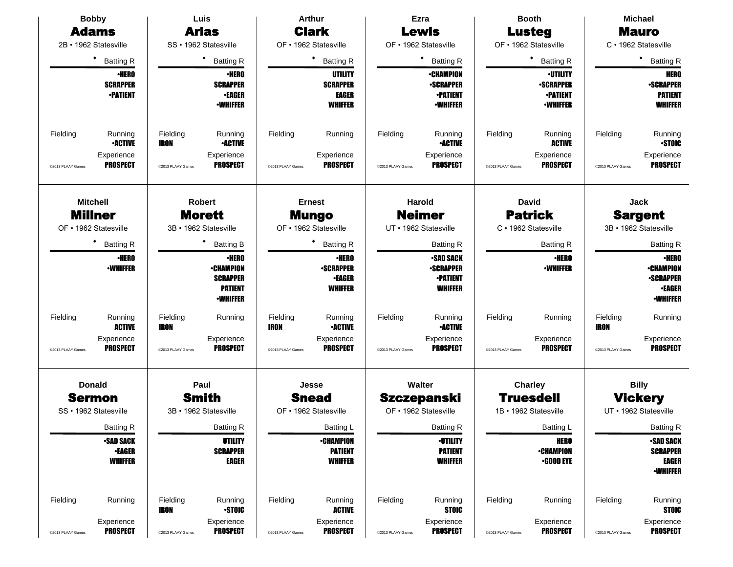| <b>Bobby</b>                                            |                                                     | Luis                    |                                                                                          |                         | <b>Arthur</b>                                                       |                   | Ezra                                                                       |                   | <b>Booth</b>                                                              | <b>Michael</b>          |                                                                                          |
|---------------------------------------------------------|-----------------------------------------------------|-------------------------|------------------------------------------------------------------------------------------|-------------------------|---------------------------------------------------------------------|-------------------|----------------------------------------------------------------------------|-------------------|---------------------------------------------------------------------------|-------------------------|------------------------------------------------------------------------------------------|
| <b>Adams</b>                                            |                                                     |                         | <b>Arias</b>                                                                             |                         | <b>Clark</b>                                                        |                   | <b>Lewis</b>                                                               |                   | <b>Lusteg</b>                                                             |                         | <b>Mauro</b>                                                                             |
| 2B · 1962 Statesville                                   |                                                     |                         | SS · 1962 Statesville                                                                    |                         | OF • 1962 Statesville                                               |                   | OF · 1962 Statesville                                                      |                   | OF • 1962 Statesville                                                     |                         | C · 1962 Statesville                                                                     |
|                                                         | ٠<br><b>Batting R</b>                               |                         | ٠<br><b>Batting R</b>                                                                    |                         | <b>Batting R</b>                                                    |                   | ٠<br><b>Batting R</b>                                                      |                   | ٠<br><b>Batting R</b>                                                     |                         | ٠<br><b>Batting R</b>                                                                    |
|                                                         | <b>•HERO</b><br><b>SCRAPPER</b><br><b>•PATIENT</b>  |                         | <b>•HERO</b><br><b>SCRAPPER</b><br><b>•EAGER</b><br><b><i>•WHIFFER</i></b>               |                         | UTILITY<br><b>SCRAPPER</b><br>EAGER<br><b>WHIFFER</b>               |                   | <b>•CHAMPION</b><br><b>•SCRAPPER</b><br><b>•PATIENT</b><br><b>•WHIFFER</b> |                   | <b>·UTILITY</b><br><b>-SCRAPPER</b><br><b>-PATIENT</b><br><b>•WHIFFER</b> |                         | <b>HERO</b><br><b>•SCRAPPER</b><br><b>PATIENT</b><br><b>WHIFFER</b>                      |
| Fielding                                                | Running<br><b>•ACTIVE</b>                           | Fielding<br>IRON        | Running<br><b>•ACTIVE</b>                                                                | Fielding                | Running                                                             | Fielding          | Running<br><b>•ACTIVE</b>                                                  | Fielding          | Running<br><b>ACTIVE</b>                                                  | Fielding                | Running<br><b>STOIC</b>                                                                  |
| @2013 PLAAY Games                                       | Experience<br><b>PROSPECT</b>                       | @2013 PLAAY Games       | Experience<br><b>PROSPECT</b>                                                            | @2013 PLAAY Games       | Experience<br><b>PROSPECT</b>                                       | @2013 PLAAY Games | Experience<br><b>PROSPECT</b>                                              | @2013 PLAAY Games | Experience<br><b>PROSPECT</b>                                             | @2013 PLAAY Games       | Experience<br><b>PROSPECT</b>                                                            |
| <b>Mitchell</b>                                         |                                                     |                         | <b>Robert</b>                                                                            |                         | <b>Ernest</b>                                                       |                   | Harold                                                                     |                   | <b>David</b>                                                              |                         | Jack                                                                                     |
| <b>Millner</b><br>OF • 1962 Statesville                 |                                                     |                         | <b>Morett</b><br>3B · 1962 Statesville                                                   |                         | <b>Mungo</b><br>OF • 1962 Statesville                               |                   | <b>Neimer</b><br>UT • 1962 Statesville                                     |                   | <b>Patrick</b><br>C · 1962 Statesville                                    |                         | <b>Sargent</b><br>3B · 1962 Statesville                                                  |
|                                                         | ٠<br><b>Batting R</b>                               |                         | ٠<br><b>Batting B</b>                                                                    |                         | <b>Batting R</b>                                                    |                   | <b>Batting R</b>                                                           |                   | <b>Batting R</b>                                                          |                         | <b>Batting R</b>                                                                         |
|                                                         | <b>•HERO</b><br><b>•WHIFFER</b>                     |                         | <b>•HERO</b><br><b>•CHAMPION</b><br><b>SCRAPPER</b><br><b>PATIENT</b><br><b>-WHIFFER</b> |                         | <b>·HERO</b><br><b>-SCRAPPER</b><br><b>•EAGER</b><br><b>WHIFFER</b> |                   | <b>-SAD SACK</b><br><b>-SCRAPPER</b><br><b>•PATIENT</b><br><b>WHIFFER</b>  |                   | <b>•HERO</b><br><b>-WHIFFER</b>                                           |                         | <b>•HERO</b><br><b>•CHAMPION</b><br><b>•SCRAPPER</b><br><b>•EAGER</b><br><b>-WHIFFER</b> |
| Fielding                                                | Running<br><b>ACTIVE</b>                            | Fielding<br><b>IRON</b> | Running                                                                                  | Fielding<br><b>IRON</b> | Running<br><b>•ACTIVE</b>                                           | Fielding          | Running<br><b>•ACTIVE</b>                                                  | Fielding          | Running                                                                   | Fielding<br><b>IRON</b> | Running                                                                                  |
| @2013 PLAAY Games                                       | Experience<br><b>PROSPECT</b>                       | @2013 PLAAY Games       | Experience<br><b>PROSPECT</b>                                                            | @2013 PLAAY Games       | Experience<br><b>PROSPECT</b>                                       | @2013 PLAAY Games | Experience<br><b>PROSPECT</b>                                              | @2013 PLAAY Games | Experience<br><b>PROSPECT</b>                                             | @2013 PLAAY Games       | Experience<br><b>PROSPECT</b>                                                            |
| <b>Donald</b><br><b>Sermon</b><br>SS · 1962 Statesville |                                                     |                         | Paul<br><b>Smith</b><br>3B · 1962 Statesville                                            |                         | Jesse<br><b>Snead</b><br>OF • 1962 Statesville                      |                   | Walter<br><b>Szczepanski</b><br>OF • 1962 Statesville                      |                   | Charley<br><b>Truesdell</b><br>1B · 1962 Statesville                      |                         | <b>Billy</b><br><b>Vickery</b><br>UT • 1962 Statesville                                  |
|                                                         | Batting R                                           |                         | <b>Batting R</b>                                                                         |                         | Batting L                                                           |                   | Batting R                                                                  |                   | Batting L                                                                 |                         | Batting R                                                                                |
|                                                         | <b>-SAD SACK</b><br><b>•EAGER</b><br><b>WHIFFER</b> |                         | UTILITY<br><b>SCRAPPER</b><br><b>EAGER</b>                                               |                         | <b>•CHAMPION</b><br><b>PATIENT</b><br><b>WHIFFER</b>                |                   | <b>-UTILITY</b><br><b>PATIENT</b><br><b>WHIFFER</b>                        |                   | <b>HERO</b><br><b>•CHAMPION</b><br>$\cdot$ GOOD EYE                       |                         | <b>•SAD SACK</b><br><b>SCRAPPER</b><br>EAGER<br><b>-WHIFFER</b>                          |
| Fielding                                                | Running                                             | Fielding<br>IRON        | Running<br><b>-STOIC</b>                                                                 | Fielding                | Running<br><b>ACTIVE</b>                                            | Fielding          | Running<br><b>STOIC</b>                                                    | Fielding          | Running                                                                   | Fielding                | Running<br><b>STOIC</b>                                                                  |
| @2013 PLAAY Games                                       | Experience<br><b>PROSPECT</b>                       | @2013 PLAAY Games       | Experience<br><b>PROSPECT</b>                                                            | @2013 PLAAY Games       | Experience<br><b>PROSPECT</b>                                       | @2013 PLAAY Games | Experience<br><b>PROSPECT</b>                                              | @2013 PLAAY Games | Experience<br><b>PROSPECT</b>                                             | @2013 PLAAY Games       | Experience<br><b>PROSPECT</b>                                                            |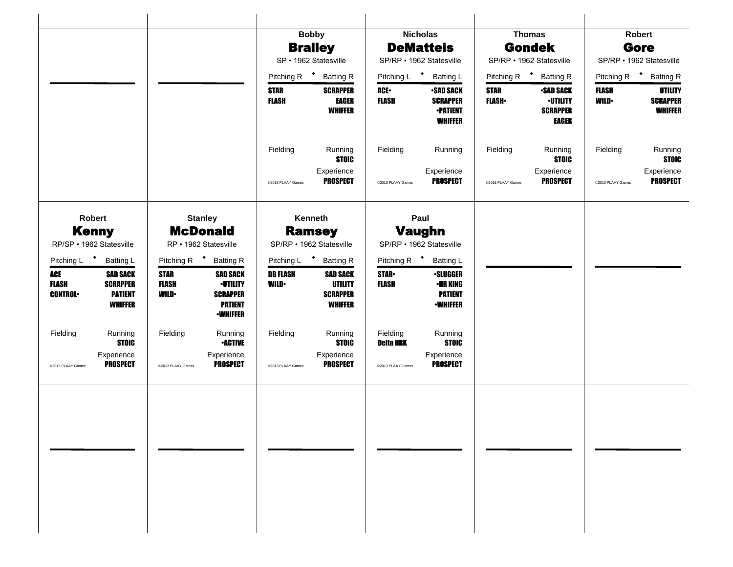|                            |                                          |                             |                                    |                                | <b>Bobby</b>                             |                              | <b>Nicholas</b>                    |                          | <b>Thomas</b>                      |                         | Robert                            |
|----------------------------|------------------------------------------|-----------------------------|------------------------------------|--------------------------------|------------------------------------------|------------------------------|------------------------------------|--------------------------|------------------------------------|-------------------------|-----------------------------------|
|                            |                                          |                             |                                    |                                | <b>Bralley</b>                           |                              | <b>DeMatteis</b>                   |                          | <b>Gondek</b>                      |                         | Gore                              |
|                            |                                          |                             |                                    | SP · 1962 Statesville          |                                          | SP/RP · 1962 Statesville     |                                    | SP/RP · 1962 Statesville |                                    |                         | SP/RP • 1962 Statesville          |
|                            |                                          |                             |                                    | Pitching R <sup>+</sup>        | <b>Batting R</b>                         | Pitching L <sup>+</sup>      | <b>Batting L</b>                   | Pitching R <sup>+</sup>  | <b>Batting R</b>                   | Pitching R <sup>+</sup> | <b>Batting R</b>                  |
|                            |                                          |                             |                                    | <b>STAR</b>                    | <b>SCRAPPER</b>                          | ACE-                         | <b>•SAD SACK</b>                   | <b>STAR</b>              | <b>-SAD SACK</b>                   | <b>FLASH</b>            | <b>UTILITY</b>                    |
|                            |                                          |                             |                                    | <b>FLASH</b>                   | <b>EAGER</b><br><b>WHIFFER</b>           | <b>FLASH</b>                 | <b>SCRAPPER</b><br><b>•PATIENT</b> | <b>FLASH</b>             | <b>-UTILITY</b><br><b>SCRAPPER</b> | <b>WILD</b>             | <b>SCRAPPER</b><br><b>WHIFFER</b> |
|                            |                                          |                             |                                    |                                |                                          |                              | <b>WHIFFER</b>                     |                          | <b>EAGER</b>                       |                         |                                   |
|                            |                                          |                             |                                    |                                |                                          |                              |                                    |                          |                                    |                         |                                   |
|                            |                                          |                             |                                    | Fielding                       | Running<br><b>STOIC</b>                  | Fielding                     | Running                            | Fielding                 | Running<br><b>STOIC</b>            | Fielding                | Running<br><b>STOIC</b>           |
|                            |                                          |                             |                                    |                                | Experience                               |                              | Experience                         |                          | Experience                         |                         | Experience                        |
|                            |                                          |                             |                                    | @2013 PLAAY Games              | <b>PROSPECT</b>                          | @2013 PLAAY Games            | <b>PROSPECT</b>                    | @2013 PLAAY Games        | <b>PROSPECT</b>                    | @2013 PLAAY Games       | <b>PROSPECT</b>                   |
|                            |                                          |                             |                                    |                                |                                          |                              |                                    |                          |                                    |                         |                                   |
|                            | Robert                                   |                             | <b>Stanley</b>                     |                                | Kenneth                                  |                              | Paul                               |                          |                                    |                         |                                   |
|                            | <b>Kenny</b>                             |                             | <b>McDonald</b>                    |                                | <b>Ramsey</b>                            |                              | <b>Vaughn</b>                      |                          |                                    |                         |                                   |
|                            | RP/SP · 1962 Statesville                 |                             | RP · 1962 Statesville              |                                | SP/RP · 1962 Statesville                 |                              | SP/RP • 1962 Statesville           |                          |                                    |                         |                                   |
| Pitching L                 | $\ddot{\phantom{1}}$<br><b>Batting L</b> | Pitching R <sup>+</sup>     | <b>Batting R</b>                   | Pitching L                     | $\ddot{\phantom{1}}$<br><b>Batting R</b> | Pitching R <sup>+</sup>      | <b>Batting L</b>                   |                          |                                    |                         |                                   |
| <b>ACE</b><br><b>FLASH</b> | <b>SAD SACK</b><br><b>SCRAPPER</b>       | <b>STAR</b><br><b>FLASH</b> | <b>SAD SACK</b><br><b>-UTILITY</b> | <b>DB FLASH</b><br><b>WILD</b> | <b>SAD SACK</b><br><b>UTILITY</b>        | <b>STAR-</b><br><b>FLASH</b> | <b>-SLUGGER</b><br>•HR KING        |                          |                                    |                         |                                   |
| <b>CONTROL</b>             | <b>PATIENT</b>                           | <b>WILD</b>                 | <b>SCRAPPER</b>                    |                                | <b>SCRAPPER</b>                          |                              | <b>PATIENT</b>                     |                          |                                    |                         |                                   |
|                            | <b>WHIFFER</b>                           |                             | <b>PATIENT</b><br><b>•WHIFFER</b>  |                                | <b>WHIFFER</b>                           |                              | <b>•WHIFFER</b>                    |                          |                                    |                         |                                   |
|                            |                                          |                             |                                    |                                |                                          |                              |                                    |                          |                                    |                         |                                   |
| Fielding                   | Running<br><b>STOIC</b>                  | Fielding                    | Running<br><b>-ACTIVE</b>          | Fielding                       | Running<br><b>STOIC</b>                  | Fielding<br><b>Deita HRK</b> | Running<br><b>STOIC</b>            |                          |                                    |                         |                                   |
|                            | Experience                               |                             | Experience                         |                                | Experience                               |                              | Experience                         |                          |                                    |                         |                                   |
| @2013 PLAAY Games          | <b>PROSPECT</b>                          | @2013 PLAAY Games           | <b>PROSPECT</b>                    | @2013 PLAAY Games              | <b>PROSPECT</b>                          | @2013 PLAAY Games            | <b>PROSPECT</b>                    |                          |                                    |                         |                                   |
|                            |                                          |                             |                                    |                                |                                          |                              |                                    |                          |                                    |                         |                                   |
|                            |                                          |                             |                                    |                                |                                          |                              |                                    |                          |                                    |                         |                                   |
|                            |                                          |                             |                                    |                                |                                          |                              |                                    |                          |                                    |                         |                                   |
|                            |                                          |                             |                                    |                                |                                          |                              |                                    |                          |                                    |                         |                                   |
|                            |                                          |                             |                                    |                                |                                          |                              |                                    |                          |                                    |                         |                                   |
|                            |                                          |                             |                                    |                                |                                          |                              |                                    |                          |                                    |                         |                                   |
|                            |                                          |                             |                                    |                                |                                          |                              |                                    |                          |                                    |                         |                                   |
|                            |                                          |                             |                                    |                                |                                          |                              |                                    |                          |                                    |                         |                                   |
|                            |                                          |                             |                                    |                                |                                          |                              |                                    |                          |                                    |                         |                                   |
|                            |                                          |                             |                                    |                                |                                          |                              |                                    |                          |                                    |                         |                                   |
|                            |                                          |                             |                                    |                                |                                          |                              |                                    |                          |                                    |                         |                                   |